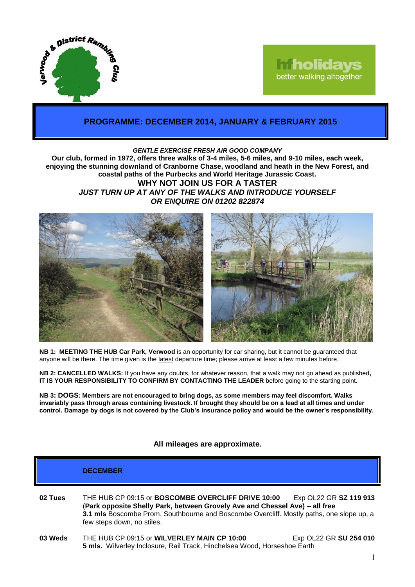

# **Tholidays** better walking altogether

## **PROGRAMME: DECEMBER 2014, JANUARY & FEBRUARY 2015**

#### *GENTLE EXERCISE FRESH AIR GOOD COMPANY*

**Our club, formed in 1972, offers three walks of 3-4 miles, 5-6 miles, and 9-10 miles, each week, enjoying the stunning downland of Cranborne Chase, woodland and heath in the New Forest, and coastal paths of the Purbecks and World Heritage Jurassic Coast. WHY NOT JOIN US FOR A TASTER**

*JUST TURN UP AT ANY OF THE WALKS AND INTRODUCE YOURSELF OR ENQUIRE ON 01202 822874*



**NB 1: MEETING THE HUB Car Park, Verwood** is an opportunity for car sharing, but it cannot be guaranteed that anyone will be there. The time given is the latest departure time; please arrive at least a few minutes before.

**NB 2: CANCELLED WALKS:** If you have any doubts, for whatever reason, that a walk may not go ahead as published**, IT IS YOUR RESPONSIBILITY TO CONFIRM BY CONTACTING THE LEADER** before going to the starting point.

**NB 3: DOGS: Members are not encouraged to bring dogs, as some members may feel discomfort. Walks invariably pass through areas containing livestock. If brought they should be on a lead at all times and under control. Damage by dogs is not covered by the Club's insurance policy and would be the owner's responsibility.**

#### **All mileages are approximate.**

|         | <b>DECEMBER</b>                                                                                                                                                                                                                                             |                        |
|---------|-------------------------------------------------------------------------------------------------------------------------------------------------------------------------------------------------------------------------------------------------------------|------------------------|
| 02 Tues | THE HUB CP 09:15 or BOSCOMBE OVERCLIFF DRIVE 10:00<br>(Park opposite Shelly Park, between Grovely Ave and Chessel Ave) - all free<br>3.1 mls Boscombe Prom, Southbourne and Boscombe Overcliff. Mostly paths, one slope up, a<br>few steps down, no stiles. | Exp OL22 GR SZ 119 913 |
| 03 Weds | THE HUB CP 09:15 or WILVERLEY MAIN CP 10:00<br>5 mls. Wilverley Inclosure, Rail Track, Hinchelsea Wood, Horseshoe Earth                                                                                                                                     | Exp OL22 GR SU 254 010 |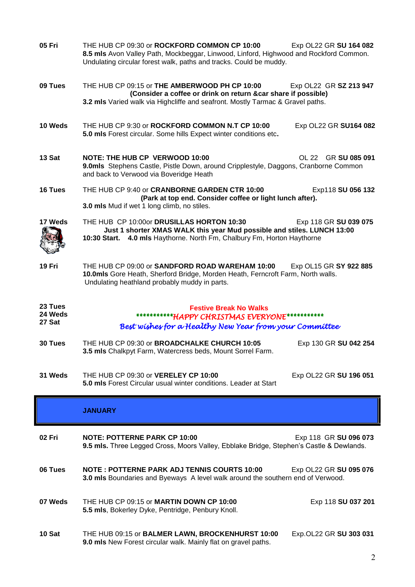| 05 Fri                       | THE HUB CP 09:30 or ROCKFORD COMMON CP 10:00<br>8.5 mls Avon Valley Path, Mockbeggar, Linwood, Linford, Highwood and Rockford Common.<br>Undulating circular forest walk, paths and tracks. Could be muddy. | Exp OL22 GR SU 164 082 |  |
|------------------------------|-------------------------------------------------------------------------------------------------------------------------------------------------------------------------------------------------------------|------------------------|--|
| 09 Tues                      | THE HUB CP 09:15 or THE AMBERWOOD PH CP 10:00<br>(Consider a coffee or drink on return &car share if possible)<br>3.2 mls Varied walk via Highcliffe and seafront. Mostly Tarmac & Gravel paths.            | Exp OL22 GR SZ 213 947 |  |
| 10 Weds                      | THE HUB CP 9:30 or ROCKFORD COMMON N.T CP 10:00<br>5.0 mls Forest circular. Some hills Expect winter conditions etc.                                                                                        | Exp OL22 GR SU164 082  |  |
| 13 Sat                       | <b>NOTE: THE HUB CP VERWOOD 10:00</b><br>9.0mls Stephens Castle, Pistle Down, around Cripplestyle, Daggons, Cranborne Common<br>and back to Verwood via Boveridge Heath                                     | OL 22 GR SU 085 091    |  |
| 16 Tues                      | THE HUB CP 9:40 or CRANBORNE GARDEN CTR 10:00<br>(Park at top end. Consider coffee or light lunch after).<br>3.0 mls Mud if wet 1 long climb, no stiles.                                                    | Exp118 SU 056 132      |  |
| 17 Weds                      | THE HUB CP 10:00or DRUSILLAS HORTON 10:30<br>Just 1 shorter XMAS WALK this year Mud possible and stiles. LUNCH 13:00<br>10:30 Start. 4.0 mls Haythorne. North Fm, Chalbury Fm, Horton Haythorne             | Exp 118 GR SU 039 075  |  |
| 19 Fri                       | THE HUB CP 09:00 or SANDFORD ROAD WAREHAM 10:00<br>10.0mls Gore Heath, Sherford Bridge, Morden Heath, Ferncroft Farm, North walls.<br>Undulating heathland probably muddy in parts.                         | Exp OL15 GR SY 922 885 |  |
| 23 Tues<br>24 Weds<br>27 Sat | <b>Festive Break No Walks</b><br>************HAPPY CHRISTMAS EVERYONE************<br>Best wishes for a Healthy New Year from your Committee                                                                 |                        |  |
| 30 Tues                      | THE HUB CP 09:30 or BROADCHALKE CHURCH 10:05<br>3.5 mls Chalkpyt Farm, Watercress beds, Mount Sorrel Farm.                                                                                                  | Exp 130 GR SU 042 254  |  |
| 31 Weds                      | THE HUB CP 09:30 or VERELEY CP 10:00<br><b>5.0 mls</b> Forest Circular usual winter conditions. Leader at Start                                                                                             | Exp OL22 GR SU 196 051 |  |
|                              | <b>JANUARY</b>                                                                                                                                                                                              |                        |  |
| 02 Fri                       | <b>NOTE: POTTERNE PARK CP 10:00</b><br>9.5 mls. Three Legged Cross, Moors Valley, Ebblake Bridge, Stephen's Castle & Dewlands.                                                                              | Exp 118 GR SU 096 073  |  |
| 06 Tues                      | <b>NOTE: POTTERNE PARK ADJ TENNIS COURTS 10:00</b><br>3.0 mls Boundaries and Byeways A level walk around the southern end of Verwood.                                                                       | Exp OL22 GR SU 095 076 |  |
| 07 Weds                      | THE HUB CP 09:15 or MARTIN DOWN CP 10:00                                                                                                                                                                    | Exp 118 SU 037 201     |  |

**10 Sat** THE HUB 09:15 or **BALMER LAWN, BROCKENHURST 10:00** Exp.OL22 GR **SU 303 031 9.0 mls** New Forest circular walk. Mainly flat on gravel paths.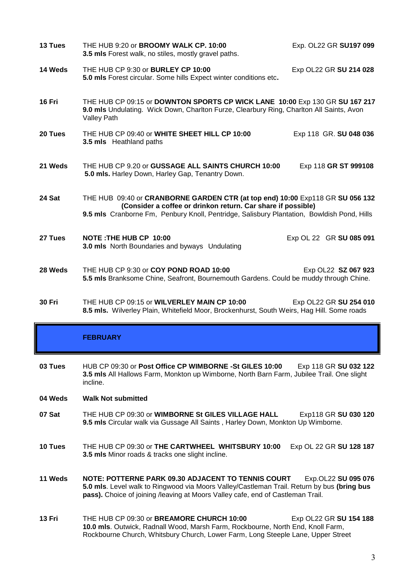| 13 Tues | THE HUB 9:20 or BROOMY WALK CP. 10:00<br>3.5 mls Forest walk, no stiles, mostly gravel paths.                                                                                                                                               | Exp. OL22 GR SU197 099  |
|---------|---------------------------------------------------------------------------------------------------------------------------------------------------------------------------------------------------------------------------------------------|-------------------------|
| 14 Weds | THE HUB CP 9:30 or BURLEY CP 10:00<br>5.0 mls Forest circular. Some hills Expect winter conditions etc.                                                                                                                                     | Exp OL22 GR SU 214 028  |
| 16 Fri  | THE HUB CP 09:15 or DOWNTON SPORTS CP WICK LANE 10:00 Exp 130 GR SU 167 217<br>9.0 mls Undulating. Wick Down, Charlton Furze, Clearbury Ring, Charlton All Saints, Avon<br>Valley Path                                                      |                         |
| 20 Tues | THE HUB CP 09:40 or WHITE SHEET HILL CP 10:00<br>3.5 mls Heathland paths                                                                                                                                                                    | Exp 118 GR. SU 048 036  |
| 21 Weds | THE HUB CP 9.20 or GUSSAGE ALL SAINTS CHURCH 10:00<br>5.0 mls. Harley Down, Harley Gap, Tenantry Down.                                                                                                                                      | Exp 118 GR ST 999108    |
| 24 Sat  | THE HUB 09:40 or CRANBORNE GARDEN CTR (at top end) 10:00 Exp118 GR SU 056 132<br>(Consider a coffee or drinkon return. Car share if possible)<br>9.5 mls Cranborne Fm, Penbury Knoll, Pentridge, Salisbury Plantation, Bowldish Pond, Hills |                         |
| 27 Tues | NOTE: THE HUB CP 10:00<br><b>3.0 mls</b> North Boundaries and byways Undulating                                                                                                                                                             | Exp OL 22 GR SU 085 091 |
| 28 Weds | THE HUB CP 9:30 or COY POND ROAD 10:00<br>5.5 mls Branksome Chine, Seafront, Bournemouth Gardens. Could be muddy through Chine.                                                                                                             | Exp OL22 SZ 067 923     |

**30 Fri** THE HUB CP 09:15 or **WILVERLEY MAIN CP 10:00** Exp OL22 GR **SU 254 010 8.5 mls.** Wilverley Plain, Whitefield Moor, Brockenhurst, South Weirs, Hag Hill. Some roads

### **FEBRUARY**

**03 Tues** HUB CP 09:30 or **Post Office CP WIMBORNE -St GILES 10:00** Exp 118 GR **SU 032 122 3.5 mls** All Hallows Farm, Monkton up Wimborne, North Barn Farm, Jubilee Trail. One slight incline.

#### **04 Weds Walk Not submitted**

- **07 Sat** THE HUB CP 09:30 or **WIMBORNE St GILES VILLAGE HALL** Exp118 GR **SU 030 120 9.5 mls** Circular walk via Gussage All Saints , Harley Down, Monkton Up Wimborne.
- **10 Tues** THE HUB CP 09:30 or **THE CARTWHEEL WHITSBURY 10:00** Exp OL 22 GR **SU 128 187 3.5 mls** Minor roads & tracks one slight incline.
- **11 Weds NOTE: POTTERNE PARK 09.30 ADJACENT TO TENNIS COURT** Exp.OL22 **SU 095 076 5.0 mls**. Level walk to Ringwood via Moors Valley/Castleman Trail. Return by bus **(bring bus pass).** Choice of joining /leaving at Moors Valley cafe, end of Castleman Trail.
- **13 Fri** THE HUB CP 09:30 or **BREAMORE CHURCH 10:00** Exp OL22 GR **SU 154 188 10.0 mls**. Outwick, Radnall Wood, Marsh Farm, Rockbourne, North End, Knoll Farm, Rockbourne Church, Whitsbury Church, Lower Farm, Long Steeple Lane, Upper Street